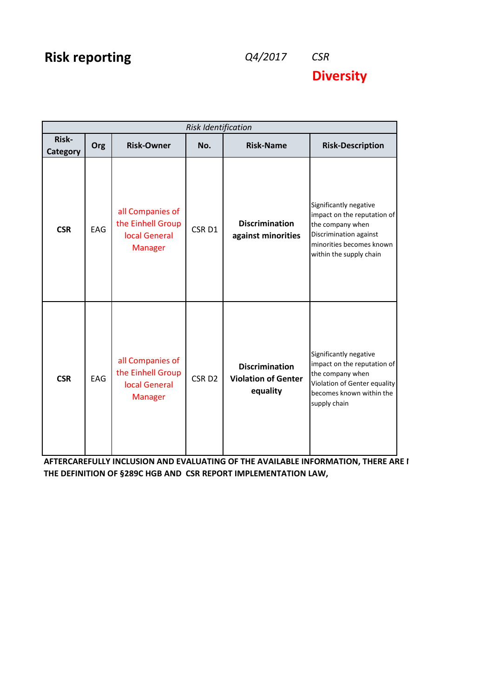## **Risk reporting** *Q4/2017 CSR*

**Diversity**

| <b>Risk Identification</b> |            |                                                                          |                   |                                                                 |                                                                                                                                                            |  |
|----------------------------|------------|--------------------------------------------------------------------------|-------------------|-----------------------------------------------------------------|------------------------------------------------------------------------------------------------------------------------------------------------------------|--|
| Risk-<br>Category          | Org        | <b>Risk-Owner</b>                                                        | No.               | <b>Risk-Name</b>                                                | <b>Risk-Description</b>                                                                                                                                    |  |
| <b>CSR</b>                 | EAG        | all Companies of<br>the Einhell Group<br>local General<br><b>Manager</b> | CSR <sub>D1</sub> | <b>Discrimination</b><br>against minorities                     | Significantly negative<br>impact on the reputation of<br>the company when<br>Discrimination against<br>minorities becomes known<br>within the supply chain |  |
| <b>CSR</b>                 | <b>EAG</b> | all Companies of<br>the Einhell Group<br>local General<br><b>Manager</b> | CSR <sub>D2</sub> | <b>Discrimination</b><br><b>Violation of Genter</b><br>equality | Significantly negative<br>impact on the reputation of<br>the company when<br>Violation of Genter equality<br>becomes known within the<br>supply chain      |  |

AFTERCAREFULLY INCLUSION AND EVALUATING OF THE AVAILABLE INFORMATION, THERE ARE I **THE DEFINITION OF §289C HGB AND CSR REPORT IMPLEMENTATION LAW,**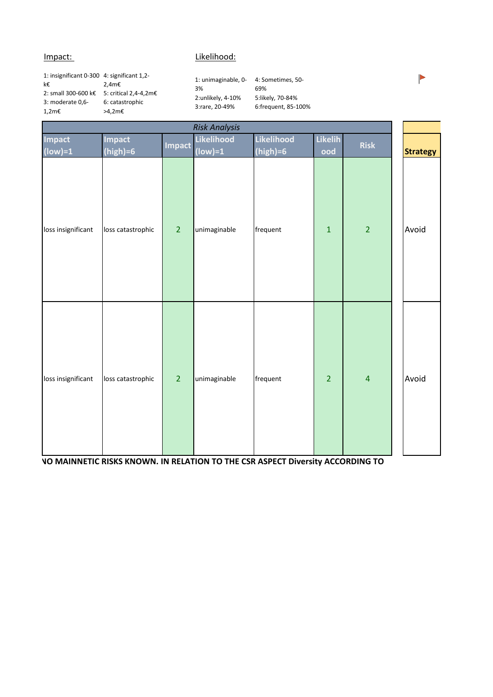## Impact: Likelihood:

1: insignificant 0-300 4: significant 1,2 k€ 2: small 300-600 k€ 5: critical 2,4-4,2m€ 3: moderate 0,6- 1,2m€ 2,4m€ 6: catastrophic >4,2m€

1: unimaginable, 0- 3% 2:unlikely, 4-10% 3:rare, 20-49%

4: Sometimes, 50- 69% 5:likely, 70-84% 6:frequent, 85-100%

|                     |                             |                | <b>Risk Analysis</b>    |                          |                       |                         |                 |
|---------------------|-----------------------------|----------------|-------------------------|--------------------------|-----------------------|-------------------------|-----------------|
| Impact<br>$(low)=1$ | <b>Impact</b><br>$(high)=6$ | <b>Impact</b>  | Likelihood<br>$(low)=1$ | Likelihood<br>$(high)=6$ | <b>Likelih</b><br>ood | Risk                    | <b>Strategy</b> |
| loss insignificant  | loss catastrophic           | $\overline{2}$ | unimaginable            | frequent                 | $\mathbf{1}$          | $\overline{2}$          | Avoid           |
| loss insignificant  | loss catastrophic           | $\overline{2}$ | unimaginable            | frequent                 | $\overline{2}$        | $\overline{\mathbf{4}}$ | Avoid           |

**AFTERCAREFULLY INCLUSION ASSESS INCLUSION AND INCLUSION TO THE CSR ASPECT Diversity ACCORDING TO** 

Þ